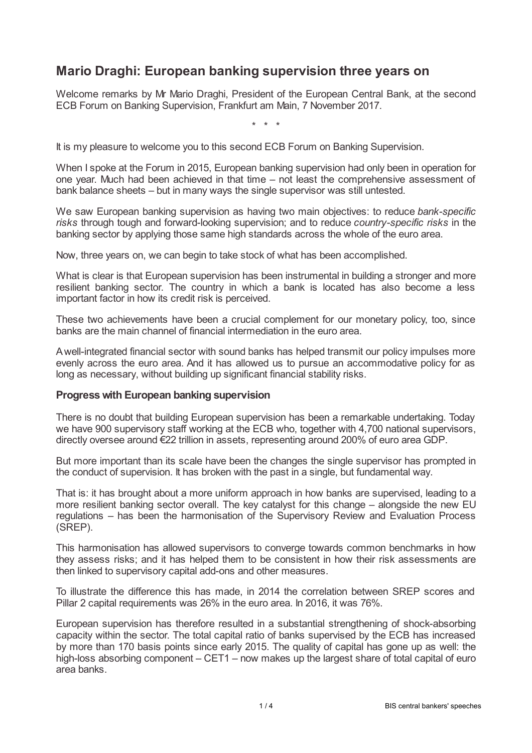## **Mario Draghi: European banking supervision three years on**

Welcome remarks by Mr Mario Draghi, President of the European Central Bank, at the second ECB Forum on Banking Supervision, Frankfurt am Main, 7 November 2017.

\* \* \*

It is my pleasure to welcome you to this second ECB Forum on Banking Supervision.

When I spoke at the Forum in 2015, European banking supervision had only been in operation for one year. Much had been achieved in that time – not least the comprehensive assessment of bank balance sheets – but in many ways the single supervisor was still untested.

We saw European banking supervision as having two main objectives: to reduce *bank-specific risks* through tough and forward-looking supervision; and to reduce *country-specific risks* in the banking sector by applying those same high standards across the whole of the euro area.

Now, three years on, we can begin to take stock of what has been accomplished.

What is clear is that European supervision has been instrumental in building a stronger and more resilient banking sector. The country in which a bank is located has also become a less important factor in how its credit risk is perceived.

These two achievements have been a crucial complement for our monetary policy, too, since banks are the main channel of financial intermediation in the euro area.

Awell-integrated financial sector with sound banks has helped transmit our policy impulses more evenly across the euro area. And it has allowed us to pursue an accommodative policy for as long as necessary, without building up significant financial stability risks.

## **Progresswith European banking supervision**

There is no doubt that building European supervision has been a remarkable undertaking. Today we have 900 supervisory staff working at the ECB who, together with 4,700 national supervisors, directly oversee around €22 trillion in assets, representing around 200% of euro area GDP.

But more important than its scale have been the changes the single supervisor has prompted in the conduct of supervision. It has broken with the past in a single, but fundamental way.

That is: it has brought about a more uniform approach in how banks are supervised, leading to a more resilient banking sector overall. The key catalyst for this change – alongside the new EU regulations – has been the harmonisation of the Supervisory Review and Evaluation Process (SREP).

This harmonisation has allowed supervisors to converge towards common benchmarks in how they assess risks; and it has helped them to be consistent in how their risk assessments are then linked to supervisory capital add-ons and other measures.

To illustrate the difference this has made, in 2014 the correlation between SREP scores and Pillar 2 capital requirements was 26% in the euro area. In 2016, it was 76%.

European supervision has therefore resulted in a substantial strengthening of shock-absorbing capacity within the sector. The total capital ratio of banks supervised by the ECB has increased by more than 170 basis points since early 2015. The quality of capital has gone up as well: the high-loss absorbing component – CET1 – now makes up the largest share of total capital of euro area banks.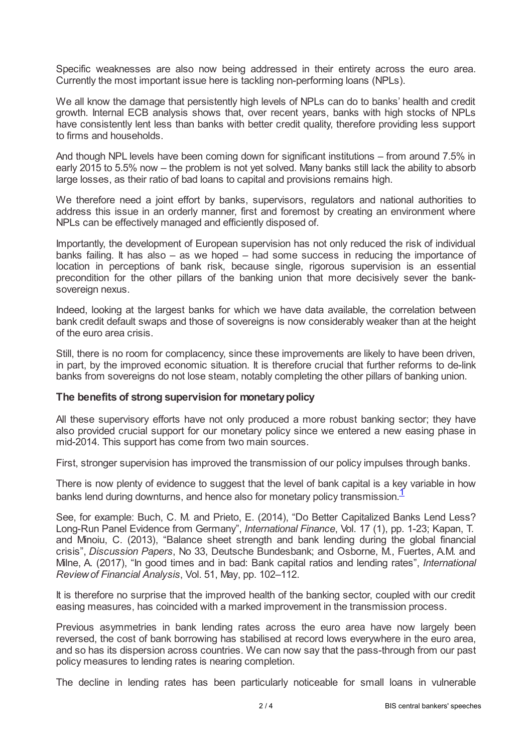Specific weaknesses are also now being addressed in their entirety across the euro area. Currently the most important issue here is tackling non-performing loans (NPLs).

We all know the damage that persistently high levels of NPLs can do to banks' health and credit growth. Internal ECB analysis shows that, over recent years, banks with high stocks of NPLs have consistently lent less than banks with better credit quality, therefore providing less support to firms and households.

And though NPL levels have been coming down for significant institutions – from around 7.5% in early 2015 to 5.5% now – the problem is not yet solved. Many banks still lack the ability to absorb large losses, as their ratio of bad loans to capital and provisions remains high.

We therefore need a joint effort by banks, supervisors, regulators and national authorities to address this issue in an orderly manner, first and foremost by creating an environment where NPLs can be effectively managed and efficiently disposed of.

Importantly, the development of European supervision has not only reduced the risk of individual banks failing. It has also – as we hoped – had some success in reducing the importance of location in perceptions of bank risk, because single, rigorous supervision is an essential precondition for the other pillars of the banking union that more decisively sever the banksovereign nexus.

Indeed, looking at the largest banks for which we have data available, the correlation between bank credit default swaps and those of sovereigns is now considerably weaker than at the height of the euro area crisis.

Still, there is no room for complacency, since these improvements are likely to have been driven, in part, by the improved economic situation. It is therefore crucial that further reforms to de-link banks from sovereigns do not lose steam, notably completing the other pillars of banking union.

## **The benefits of strong supervision for monetarypolicy**

All these supervisory efforts have not only produced a more robust banking sector; they have also provided crucial support for our monetary policy since we entered a new easing phase in mid-2014. This support has come from two main sources.

First, stronger supervision has improved the transmission of our policy impulses through banks.

<span id="page-1-0"></span>There is now plenty of evidence to suggest that the level of bank capital is a key variable in how banks lend during downturns, and hence also for monetary policy transmission.<sup>[1](#page-3-0)</sup>

See, for example: Buch, C. M. and Prieto, E. (2014), "Do Better Capitalized Banks Lend Less? Long-Run Panel Evidence from Germany", *International Finance*, Vol. 17 (1), pp. 1-23; Kapan, T. and Minoiu, C. (2013), "Balance sheet strength and bank lending during the global financial crisis", *Discussion Papers*, No 33, Deutsche Bundesbank; and Osborne, M., Fuertes, A.M. and Milne, A. (2017), "In good times and in bad: Bank capital ratios and lending rates", *International Reviewof Financial Analysis*, Vol. 51, May, pp. 102–112.

It is therefore no surprise that the improved health of the banking sector, coupled with our credit easing measures, has coincided with a marked improvement in the transmission process.

Previous asymmetries in bank lending rates across the euro area have now largely been reversed, the cost of bank borrowing has stabilised at record lows everywhere in the euro area, and so has its dispersion across countries. We can now say that the pass-through from our past policy measures to lending rates is nearing completion.

The decline in lending rates has been particularly noticeable for small loans in vulnerable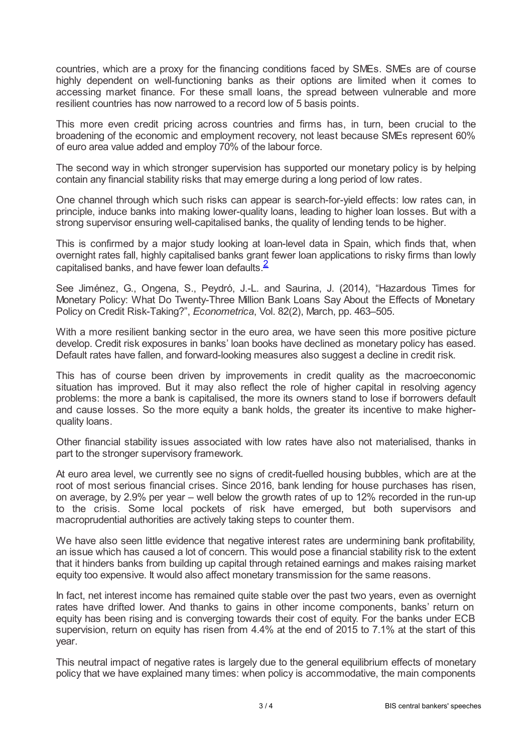countries, which are a proxy for the financing conditions faced by SMEs. SMEs are of course highly dependent on well-functioning banks as their options are limited when it comes to accessing market finance. For these small loans, the spread between vulnerable and more resilient countries has now narrowed to a record low of 5 basis points.

This more even credit pricing across countries and firms has, in turn, been crucial to the broadening of the economic and employment recovery, not least because SMEs represent 60% of euro area value added and employ 70% of the labour force.

The second way in which stronger supervision has supported our monetary policy is by helping contain any financial stability risks that may emerge during a long period of low rates.

One channel through which such risks can appear is search-for-yield effects: low rates can, in principle, induce banks into making lower-quality loans, leading to higher loan losses. But with a strong supervisor ensuring well-capitalised banks, the quality of lending tends to be higher.

This is confirmed by a major study looking at loan-level data in Spain, which finds that, when overnight rates fall, highly capitalised banks grant fewer loan applications to risky firms than lowly capitalised banks, and have fewer loan defaults. $\frac{2}{3}$  $\frac{2}{3}$  $\frac{2}{3}$ 

<span id="page-2-0"></span>See Jiménez, G., Ongena, S., Peydró, J.-L. and Saurina, J. (2014), "Hazardous Times for Monetary Policy: What Do Twenty-Three Million Bank Loans Say About the Effects of Monetary Policy on Credit Risk-Taking?", *Econometrica*, Vol. 82(2), March, pp. 463–505.

With a more resilient banking sector in the euro area, we have seen this more positive picture develop. Credit risk exposures in banks' loan books have declined as monetary policy has eased. Default rates have fallen, and forward-looking measures also suggest a decline in credit risk.

This has of course been driven by improvements in credit quality as the macroeconomic situation has improved. But it may also reflect the role of higher capital in resolving agency problems: the more a bank is capitalised, the more its owners stand to lose if borrowers default and cause losses. So the more equity a bank holds, the greater its incentive to make higherquality loans.

Other financial stability issues associated with low rates have also not materialised, thanks in part to the stronger supervisory framework.

At euro area level, we currently see no signs of credit-fuelled housing bubbles, which are at the root of most serious financial crises. Since 2016, bank lending for house purchases has risen, on average, by 2.9% per year – well below the growth rates of up to 12% recorded in the run-up to the crisis. Some local pockets of risk have emerged, but both supervisors and macroprudential authorities are actively taking steps to counter them.

We have also seen little evidence that negative interest rates are undermining bank profitability, an issue which has caused a lot of concern. This would pose a financial stability risk to the extent that it hinders banks from building up capital through retained earnings and makes raising market equity too expensive. It would also affect monetary transmission for the same reasons.

In fact, net interest income has remained quite stable over the past two years, even as overnight rates have drifted lower. And thanks to gains in other income components, banks' return on equity has been rising and is converging towards their cost of equity. For the banks under ECB supervision, return on equity has risen from 4.4% at the end of 2015 to 7.1% at the start of this year.

This neutral impact of negative rates is largely due to the general equilibrium effects of monetary policy that we have explained many times: when policy is accommodative, the main components